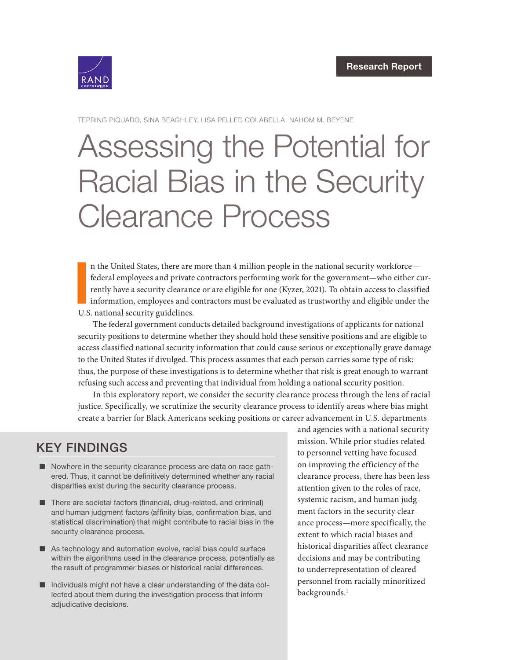

TEPRING PIQUADO, SINA BEAGHLEY, LISA PELLED COLABELLA, NAHOM M. BEYENE

# Assessing the Potential for [Racial Bias in the Security](https://www.rand.org/pubs/research_reports/RRA1201-1.html)  Clearance Process

I n the United States, there are more than 4 million people in the national security workforce federal employees and private contractors performing work for the government—who either currently have a security clearance or are eligible for one (Kyzer, 2021). To obtain access to classified information, employees and contractors must be evaluated as trustworthy and eligible under the U.S. national security guidelines.

The federal government conducts detailed background investigations of applicants for national security positions to determine whether they should hold these sensitive positions and are eligible to access classified national security information that could cause serious or exceptionally grave damage to the United States if divulged. This process assumes that each person carries some type of risk; thus, the purpose of these investigations is to determine whether that risk is great enough to warrant refusing such access and preventing that individual from holding a national security position.

In this exploratory report, we consider the security clearance process through the lens of racial justice. Specifically, we scrutinize the security clearance process to identify areas where bias might create a barrier for Black Americans seeking positions or career advancement in U.S. departments

# KEY FINDINGS

- Nowhere in the security clearance process are data on race gathered. Thus, it cannot be definitively determined whether any racial disparities exist during the security clearance process.
- There are societal factors (financial, drug-related, and criminal) and human judgment factors (affinity bias, confirmation bias, and statistical discrimination) that might contribute to racial bias in the security clearance process.
- As technology and automation evolve, racial bias could surface within the algorithms used in the clearance process, potentially as the result of programmer biases or historical racial differences.
- $\blacksquare$  Individuals might not have a clear understanding of the data collected about them during the investigation process that inform adjudicative decisions.

and agencies with a national security mission. While prior studies related to personnel vetting have focused on improving the efficiency of the clearance process, there has been less attention given to the roles of race, systemic racism, and human judgment factors in the security clearance process—more specifically, the extent to which racial biases and historical disparities affect clearance decisions and may be contributing to underrepresentation of cleared personnel from racially minoritized backgrounds.1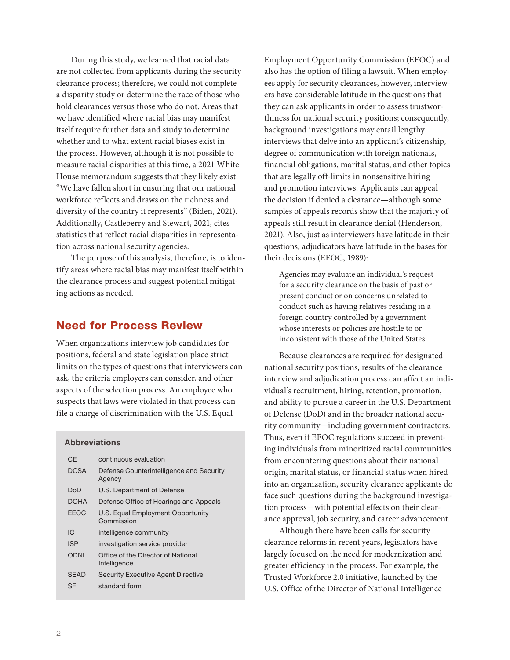During this study, we learned that racial data are not collected from applicants during the security clearance process; therefore, we could not complete a disparity study or determine the race of those who hold clearances versus those who do not. Areas that we have identified where racial bias may manifest itself require further data and study to determine whether and to what extent racial biases exist in the process. However, although it is not possible to measure racial disparities at this time, a 2021 White House memorandum suggests that they likely exist: "We have fallen short in ensuring that our national workforce reflects and draws on the richness and diversity of the country it represents" (Biden, 2021). Additionally, Castleberry and Stewart, 2021, cites statistics that reflect racial disparities in representation across national security agencies.

The purpose of this analysis, therefore, is to identify areas where racial bias may manifest itself within the clearance process and suggest potential mitigating actions as needed.

### Need for Process Review

When organizations interview job candidates for positions, federal and state legislation place strict limits on the types of questions that interviewers can ask, the criteria employers can consider, and other aspects of the selection process. An employee who suspects that laws were violated in that process can file a charge of discrimination with the U.S. Equal

#### Abbreviations

| CF          | continuous evaluation                              |  |
|-------------|----------------------------------------------------|--|
| <b>DCSA</b> | Defense Counterintelligence and Security<br>Agency |  |
| DoD         | U.S. Department of Defense                         |  |
| <b>DOHA</b> | Defense Office of Hearings and Appeals             |  |
| <b>FFOC</b> | U.S. Equal Employment Opportunity<br>Commission    |  |
| IC.         | intelligence community                             |  |
| <b>ISP</b>  | investigation service provider                     |  |
| <b>ODNI</b> | Office of the Director of National<br>Intelligence |  |
| <b>SEAD</b> | <b>Security Executive Agent Directive</b>          |  |
| SF          | standard form                                      |  |

Employment Opportunity Commission (EEOC) and also has the option of filing a lawsuit. When employees apply for security clearances, however, interviewers have considerable latitude in the questions that they can ask applicants in order to assess trustworthiness for national security positions; consequently, background investigations may entail lengthy interviews that delve into an applicant's citizenship, degree of communication with foreign nationals, financial obligations, marital status, and other topics that are legally off-limits in nonsensitive hiring and promotion interviews. Applicants can appeal the decision if denied a clearance—although some samples of appeals records show that the majority of appeals still result in clearance denial (Henderson, 2021). Also, just as interviewers have latitude in their questions, adjudicators have latitude in the bases for their decisions (EEOC, 1989):

Agencies may evaluate an individual's request for a security clearance on the basis of past or present conduct or on concerns unrelated to conduct such as having relatives residing in a foreign country controlled by a government whose interests or policies are hostile to or inconsistent with those of the United States.

Because clearances are required for designated national security positions, results of the clearance interview and adjudication process can affect an individual's recruitment, hiring, retention, promotion, and ability to pursue a career in the U.S. Department of Defense (DoD) and in the broader national security community—including government contractors. Thus, even if EEOC regulations succeed in preventing individuals from minoritized racial communities from encountering questions about their national origin, marital status, or financial status when hired into an organization, security clearance applicants do face such questions during the background investigation process—with potential effects on their clearance approval, job security, and career advancement.

Although there have been calls for security clearance reforms in recent years, legislators have largely focused on the need for modernization and greater efficiency in the process. For example, the Trusted Workforce 2.0 initiative, launched by the U.S. Office of the Director of National Intelligence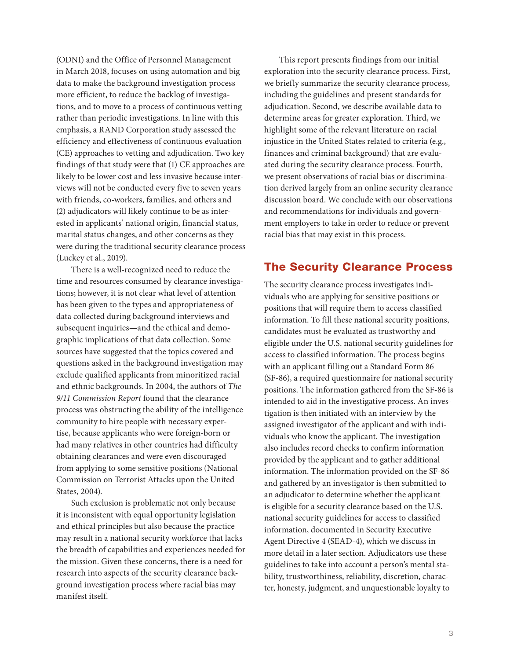(ODNI) and the Office of Personnel Management in March 2018, focuses on using automation and big data to make the background investigation process more efficient, to reduce the backlog of investigations, and to move to a process of continuous vetting rather than periodic investigations. In line with this emphasis, a RAND Corporation study assessed the efficiency and effectiveness of continuous evaluation (CE) approaches to vetting and adjudication. Two key findings of that study were that (1) CE approaches are likely to be lower cost and less invasive because interviews will not be conducted every five to seven years with friends, co-workers, families, and others and (2) adjudicators will likely continue to be as interested in applicants' national origin, financial status, marital status changes, and other concerns as they were during the traditional security clearance process (Luckey et al., 2019).

There is a well-recognized need to reduce the time and resources consumed by clearance investigations; however, it is not clear what level of attention has been given to the types and appropriateness of data collected during background interviews and subsequent inquiries—and the ethical and demographic implications of that data collection. Some sources have suggested that the topics covered and questions asked in the background investigation may exclude qualified applicants from minoritized racial and ethnic backgrounds. In 2004, the authors of The 9/11 Commission Report found that the clearance process was obstructing the ability of the intelligence community to hire people with necessary expertise, because applicants who were foreign-born or had many relatives in other countries had difficulty obtaining clearances and were even discouraged from applying to some sensitive positions (National Commission on Terrorist Attacks upon the United States, 2004).

Such exclusion is problematic not only because it is inconsistent with equal opportunity legislation and ethical principles but also because the practice may result in a national security workforce that lacks the breadth of capabilities and experiences needed for the mission. Given these concerns, there is a need for research into aspects of the security clearance background investigation process where racial bias may manifest itself.

This report presents findings from our initial exploration into the security clearance process. First, we briefly summarize the security clearance process, including the guidelines and present standards for adjudication. Second, we describe available data to determine areas for greater exploration. Third, we highlight some of the relevant literature on racial injustice in the United States related to criteria (e.g., finances and criminal background) that are evaluated during the security clearance process. Fourth, we present observations of racial bias or discrimination derived largely from an online security clearance discussion board. We conclude with our observations and recommendations for individuals and government employers to take in order to reduce or prevent racial bias that may exist in this process.

# The Security Clearance Process

The security clearance process investigates individuals who are applying for sensitive positions or positions that will require them to access classified information. To fill these national security positions, candidates must be evaluated as trustworthy and eligible under the U.S. national security guidelines for access to classified information. The process begins with an applicant filling out a Standard Form 86 (SF-86), a required questionnaire for national security positions. The information gathered from the SF-86 is intended to aid in the investigative process. An investigation is then initiated with an interview by the assigned investigator of the applicant and with individuals who know the applicant. The investigation also includes record checks to confirm information provided by the applicant and to gather additional information. The information provided on the SF-86 and gathered by an investigator is then submitted to an adjudicator to determine whether the applicant is eligible for a security clearance based on the U.S. national security guidelines for access to classified information, documented in Security Executive Agent Directive 4 (SEAD-4), which we discuss in more detail in a later section. Adjudicators use these guidelines to take into account a person's mental stability, trustworthiness, reliability, discretion, character, honesty, judgment, and unquestionable loyalty to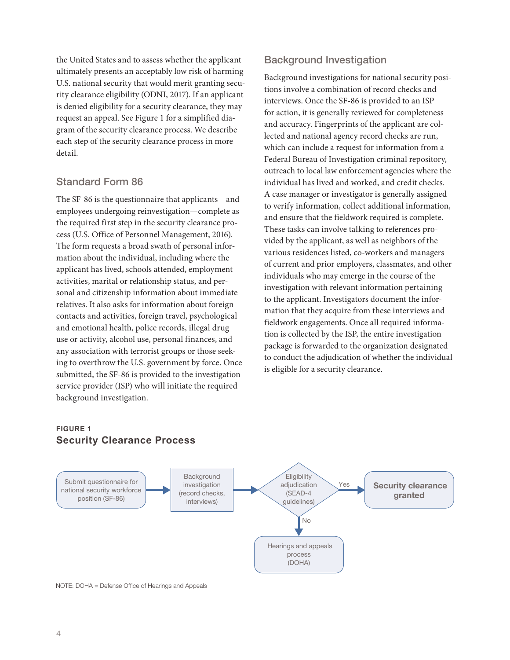the United States and to assess whether the applicant ultimately presents an acceptably low risk of harming U.S. national security that would merit granting security clearance eligibility (ODNI, 2017). If an applicant is denied eligibility for a security clearance, they may request an appeal. See Figure 1 for a simplified diagram of the security clearance process. We describe each step of the security clearance process in more detail.

## Standard Form 86

The SF-86 is the questionnaire that applicants—and employees undergoing reinvestigation—complete as the required first step in the security clearance process (U.S. Office of Personnel Management, 2016). The form requests a broad swath of personal information about the individual, including where the applicant has lived, schools attended, employment activities, marital or relationship status, and personal and citizenship information about immediate relatives. It also asks for information about foreign contacts and activities, foreign travel, psychological and emotional health, police records, illegal drug use or activity, alcohol use, personal finances, and any association with terrorist groups or those seeking to overthrow the U.S. government by force. Once submitted, the SF-86 is provided to the investigation service provider (ISP) who will initiate the required background investigation.

# Background Investigation

Background investigations for national security positions involve a combination of record checks and interviews. Once the SF-86 is provided to an ISP for action, it is generally reviewed for completeness and accuracy. Fingerprints of the applicant are collected and national agency record checks are run, which can include a request for information from a Federal Bureau of Investigation criminal repository, outreach to local law enforcement agencies where the individual has lived and worked, and credit checks. A case manager or investigator is generally assigned to verify information, collect additional information, and ensure that the fieldwork required is complete. These tasks can involve talking to references provided by the applicant, as well as neighbors of the various residences listed, co-workers and managers of current and prior employers, classmates, and other individuals who may emerge in the course of the investigation with relevant information pertaining to the applicant. Investigators document the information that they acquire from these interviews and fieldwork engagements. Once all required information is collected by the ISP, the entire investigation package is forwarded to the organization designated to conduct the adjudication of whether the individual is eligible for a security clearance.

#### **FIGURE 1 Security Clearance Process**



NOTE: DOHA = Defense Office of Hearings and Appeals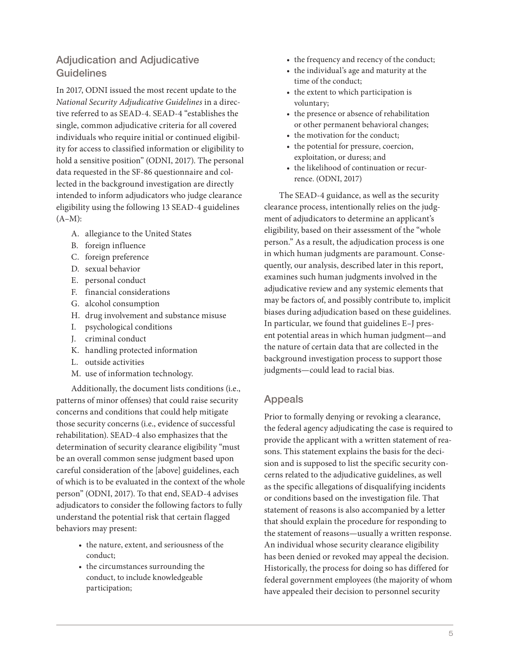# Adjudication and Adjudicative **Guidelines**

In 2017, ODNI issued the most recent update to the National Security Adjudicative Guidelines in a directive referred to as SEAD-4. SEAD-4 "establishes the single, common adjudicative criteria for all covered individuals who require initial or continued eligibility for access to classified information or eligibility to hold a sensitive position" (ODNI, 2017). The personal data requested in the SF-86 questionnaire and collected in the background investigation are directly intended to inform adjudicators who judge clearance eligibility using the following 13 SEAD-4 guidelines  $(A-M):$ 

- A. allegiance to the United States
- B. foreign influence
- C. foreign preference
- D. sexual behavior
- E. personal conduct
- F. financial considerations
- G. alcohol consumption
- H. drug involvement and substance misuse
- I. psychological conditions
- J. criminal conduct
- K. handling protected information
- L. outside activities
- M. use of information technology.

Additionally, the document lists conditions (i.e., patterns of minor offenses) that could raise security concerns and conditions that could help mitigate those security concerns (i.e., evidence of successful rehabilitation). SEAD-4 also emphasizes that the determination of security clearance eligibility "must be an overall common sense judgment based upon careful consideration of the [above] guidelines, each of which is to be evaluated in the context of the whole person" (ODNI, 2017). To that end, SEAD-4 advises adjudicators to consider the following factors to fully understand the potential risk that certain flagged behaviors may present:

- the nature, extent, and seriousness of the conduct;
- the circumstances surrounding the conduct, to include knowledgeable participation;
- the frequency and recency of the conduct;
- the individual's age and maturity at the time of the conduct;
- the extent to which participation is voluntary;
- the presence or absence of rehabilitation or other permanent behavioral changes;
- the motivation for the conduct;
- the potential for pressure, coercion, exploitation, or duress; and
- the likelihood of continuation or recurrence. (ODNI, 2017)

The SEAD-4 guidance, as well as the security clearance process, intentionally relies on the judgment of adjudicators to determine an applicant's eligibility, based on their assessment of the "whole person." As a result, the adjudication process is one in which human judgments are paramount. Consequently, our analysis, described later in this report, examines such human judgments involved in the adjudicative review and any systemic elements that may be factors of, and possibly contribute to, implicit biases during adjudication based on these guidelines. In particular, we found that guidelines E–J present potential areas in which human judgment—and the nature of certain data that are collected in the background investigation process to support those judgments—could lead to racial bias.

#### Appeals

Prior to formally denying or revoking a clearance, the federal agency adjudicating the case is required to provide the applicant with a written statement of reasons. This statement explains the basis for the decision and is supposed to list the specific security concerns related to the adjudicative guidelines, as well as the specific allegations of disqualifying incidents or conditions based on the investigation file. That statement of reasons is also accompanied by a letter that should explain the procedure for responding to the statement of reasons—usually a written response. An individual whose security clearance eligibility has been denied or revoked may appeal the decision. Historically, the process for doing so has differed for federal government employees (the majority of whom have appealed their decision to personnel security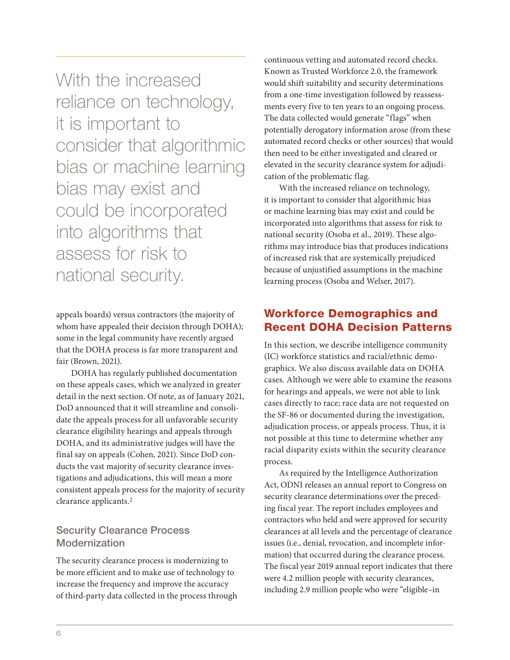With the increased reliance on technology, it is important to consider that algorithmic bias or machine learning bias may exist and could be incorporated into algorithms that assess for risk to national security.

appeals boards) versus contractors (the majority of whom have appealed their decision through DOHA); some in the legal community have recently argued that the DOHA process is far more transparent and fair (Brown, 2021).

DOHA has regularly published documentation on these appeals cases, which we analyzed in greater detail in the next section. Of note, as of January 2021, DoD announced that it will streamline and consolidate the appeals process for all unfavorable security clearance eligibility hearings and appeals through DOHA, and its administrative judges will have the final say on appeals (Cohen, 2021). Since DoD conducts the vast majority of security clearance investigations and adjudications, this will mean a more consistent appeals process for the majority of security clearance applicants.2

# Security Clearance Process Modernization

The security clearance process is modernizing to be more efficient and to make use of technology to increase the frequency and improve the accuracy of third-party data collected in the process through continuous vetting and automated record checks. Known as Trusted Workforce 2.0, the framework would shift suitability and security determinations from a one-time investigation followed by reassessments every five to ten years to an ongoing process. The data collected would generate "flags" when potentially derogatory information arose (from these automated record checks or other sources) that would then need to be either investigated and cleared or elevated in the security clearance system for adjudication of the problematic flag.

With the increased reliance on technology, it is important to consider that algorithmic bias or machine learning bias may exist and could be incorporated into algorithms that assess for risk to national security (Osoba et al., 2019). These algorithms may introduce bias that produces indications of increased risk that are systemically prejudiced because of unjustified assumptions in the machine learning process (Osoba and Welser, 2017).

# Workforce Demographics and Recent DOHA Decision Patterns

In this section, we describe intelligence community (IC) workforce statistics and racial/ethnic demographics. We also discuss available data on DOHA cases. Although we were able to examine the reasons for hearings and appeals, we were not able to link cases directly to race; race data are not requested on the SF-86 or documented during the investigation, adjudication process, or appeals process. Thus, it is not possible at this time to determine whether any racial disparity exists within the security clearance process.

As required by the Intelligence Authorization Act, ODNI releases an annual report to Congress on security clearance determinations over the preceding fiscal year. The report includes employees and contractors who held and were approved for security clearances at all levels and the percentage of clearance issues (i.e., denial, revocation, and incomplete information) that occurred during the clearance process. The fiscal year 2019 annual report indicates that there were 4.2 million people with security clearances, including 2.9 million people who were "eligible–in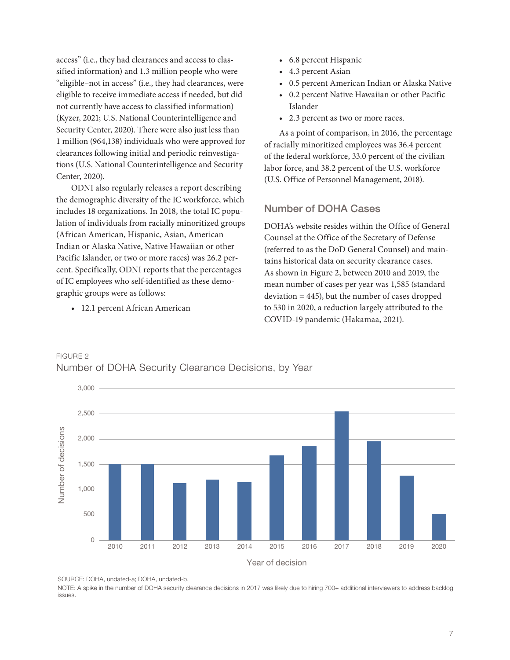access" (i.e., they had clearances and access to classified information) and 1.3 million people who were "eligible–not in access" (i.e., they had clearances, were eligible to receive immediate access if needed, but did not currently have access to classified information) (Kyzer, 2021; U.S. National Counterintelligence and Security Center, 2020). There were also just less than 1 million (964,138) individuals who were approved for clearances following initial and periodic reinvestigations (U.S. National Counterintelligence and Security Center, 2020).

ODNI also regularly releases a report describing the demographic diversity of the IC workforce, which includes 18 organizations. In 2018, the total IC population of individuals from racially minoritized groups (African American, Hispanic, Asian, American Indian or Alaska Native, Native Hawaiian or other Pacific Islander, or two or more races) was 26.2 percent. Specifically, ODNI reports that the percentages of IC employees who self-identified as these demographic groups were as follows:

• 12.1 percent African American

- 6.8 percent Hispanic
- 4.3 percent Asian
- 0.5 percent American Indian or Alaska Native
- 0.2 percent Native Hawaiian or other Pacific Islander
- 2.3 percent as two or more races.

As a point of comparison, in 2016, the percentage of racially minoritized employees was 36.4 percent of the federal workforce, 33.0 percent of the civilian labor force, and 38.2 percent of the U.S. workforce (U.S. Office of Personnel Management, 2018).

# Number of DOHA Cases

DOHA's website resides within the Office of General Counsel at the Office of the Secretary of Defense (referred to as the DoD General Counsel) and maintains historical data on security clearance cases. As shown in Figure 2, between 2010 and 2019, the mean number of cases per year was 1,585 (standard deviation = 445), but the number of cases dropped to 530 in 2020, a reduction largely attributed to the COVID-19 pandemic (Hakamaa, 2021).



# FIGURE 2 Number of DOHA Security Clearance Decisions, by Year

SOURCE: DOHA, undated-a; DOHA, undated-b.

NOTE: A spike in the number of DOHA security clearance decisions in 2017 was likely due to hiring 700+ additional interviewers to address backlog issues.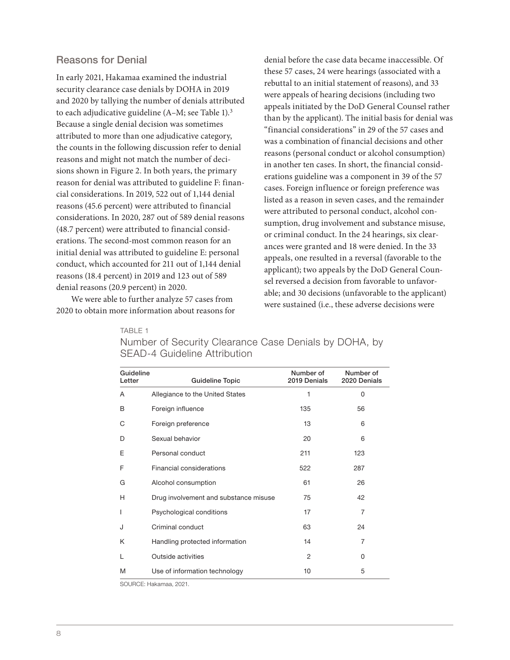#### Reasons for Denial

In early 2021, Hakamaa examined the industrial security clearance case denials by DOHA in 2019 and 2020 by tallying the number of denials attributed to each adjudicative guideline (A–M; see Table 1).3 Because a single denial decision was sometimes attributed to more than one adjudicative category, the counts in the following discussion refer to denial reasons and might not match the number of decisions shown in Figure 2. In both years, the primary reason for denial was attributed to guideline F: financial considerations. In 2019, 522 out of 1,144 denial reasons (45.6 percent) were attributed to financial considerations. In 2020, 287 out of 589 denial reasons (48.7 percent) were attributed to financial considerations. The second-most common reason for an initial denial was attributed to guideline E: personal conduct, which accounted for 211 out of 1,144 denial reasons (18.4 percent) in 2019 and 123 out of 589 denial reasons (20.9 percent) in 2020.

We were able to further analyze 57 cases from 2020 to obtain more information about reasons for

denial before the case data became inaccessible. Of these 57 cases, 24 were hearings (associated with a rebuttal to an initial statement of reasons), and 33 were appeals of hearing decisions (including two appeals initiated by the DoD General Counsel rather than by the applicant). The initial basis for denial was "financial considerations" in 29 of the 57 cases and was a combination of financial decisions and other reasons (personal conduct or alcohol consumption) in another ten cases. In short, the financial considerations guideline was a component in 39 of the 57 cases. Foreign influence or foreign preference was listed as a reason in seven cases, and the remainder were attributed to personal conduct, alcohol consumption, drug involvement and substance misuse, or criminal conduct. In the 24 hearings, six clearances were granted and 18 were denied. In the 33 appeals, one resulted in a reversal (favorable to the applicant); two appeals by the DoD General Counsel reversed a decision from favorable to unfavorable; and 30 decisions (unfavorable to the applicant) were sustained (i.e., these adverse decisions were

TABLE 1

| Guideline<br>Letter | <b>Guideline Topic</b>                | Number of<br>2019 Denials | Number of<br>2020 Denials |
|---------------------|---------------------------------------|---------------------------|---------------------------|
| A                   | Allegiance to the United States       | 1                         | 0                         |
| B                   | Foreign influence                     | 135                       | 56                        |
| С                   | Foreign preference                    | 13                        | 6                         |
| D                   | Sexual behavior                       | 20                        | 6                         |
| E                   | Personal conduct                      | 211                       | 123                       |
| F                   | Financial considerations              | 522                       | 287                       |
| G                   | Alcohol consumption                   | 61                        | 26                        |
| Н                   | Drug involvement and substance misuse | 75                        | 42                        |
| I                   | Psychological conditions              | 17                        | $\overline{7}$            |
| J                   | Criminal conduct                      | 63                        | 24                        |
| Κ                   | Handling protected information        | 14                        | 7                         |
| L                   | Outside activities                    | 2                         | 0                         |
| M                   | Use of information technology         | 10                        | 5                         |

### Number of Security Clearance Case Denials by DOHA, by SEAD-4 Guideline Attribution

SOURCE: Hakamaa, 2021.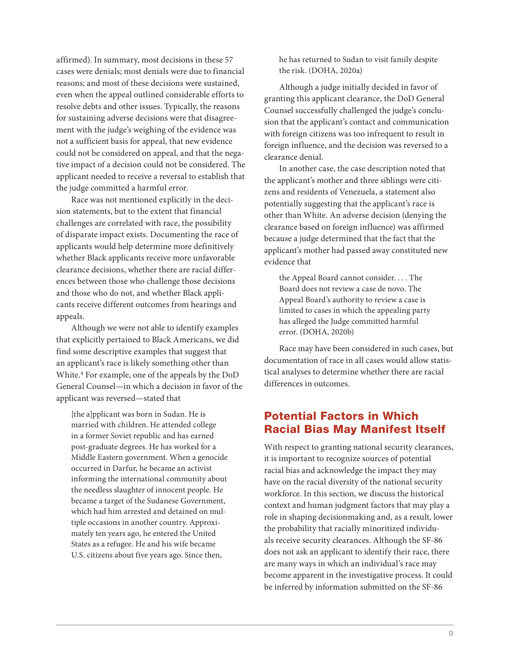affirmed). In summary, most decisions in these 57 cases were denials; most denials were due to financial reasons; and most of these decisions were sustained, even when the appeal outlined considerable efforts to resolve debts and other issues. Typically, the reasons for sustaining adverse decisions were that disagreement with the judge's weighing of the evidence was not a sufficient basis for appeal, that new evidence could not be considered on appeal, and that the negative impact of a decision could not be considered. The applicant needed to receive a reversal to establish that the judge committed a harmful error.

Race was not mentioned explicitly in the decision statements, but to the extent that financial challenges are correlated with race, the possibility of disparate impact exists. Documenting the race of applicants would help determine more definitively whether Black applicants receive more unfavorable clearance decisions, whether there are racial differences between those who challenge those decisions and those who do not, and whether Black applicants receive different outcomes from hearings and appeals.

Although we were not able to identify examples that explicitly pertained to Black Americans, we did find some descriptive examples that suggest that an applicant's race is likely something other than White.4 For example, one of the appeals by the DoD General Counsel—in which a decision in favor of the applicant was reversed—stated that

[the a]pplicant was born in Sudan. He is married with children. He attended college in a former Soviet republic and has earned post-graduate degrees. He has worked for a Middle Eastern government. When a genocide occurred in Darfur, he became an activist informing the international community about the needless slaughter of innocent people. He became a target of the Sudanese Government, which had him arrested and detained on multiple occasions in another country. Approximately ten years ago, he entered the United States as a refugee. He and his wife became U.S. citizens about five years ago. Since then,

he has returned to Sudan to visit family despite the risk. (DOHA, 2020a)

Although a judge initially decided in favor of granting this applicant clearance, the DoD General Counsel successfully challenged the judge's conclusion that the applicant's contact and communication with foreign citizens was too infrequent to result in foreign influence, and the decision was reversed to a clearance denial.

In another case, the case description noted that the applicant's mother and three siblings were citizens and residents of Venezuela, a statement also potentially suggesting that the applicant's race is other than White. An adverse decision (denying the clearance based on foreign influence) was affirmed because a judge determined that the fact that the applicant's mother had passed away constituted new evidence that

the Appeal Board cannot consider. . . . The Board does not review a case de novo. The Appeal Board's authority to review a case is limited to cases in which the appealing party has alleged the Judge committed harmful error. (DOHA, 2020b)

Race may have been considered in such cases, but documentation of race in all cases would allow statistical analyses to determine whether there are racial differences in outcomes.

# Potential Factors in Which Racial Bias May Manifest Itself

With respect to granting national security clearances, it is important to recognize sources of potential racial bias and acknowledge the impact they may have on the racial diversity of the national security workforce. In this section, we discuss the historical context and human judgment factors that may play a role in shaping decisionmaking and, as a result, lower the probability that racially minoritized individuals receive security clearances. Although the SF-86 does not ask an applicant to identify their race, there are many ways in which an individual's race may become apparent in the investigative process. It could be inferred by information submitted on the SF-86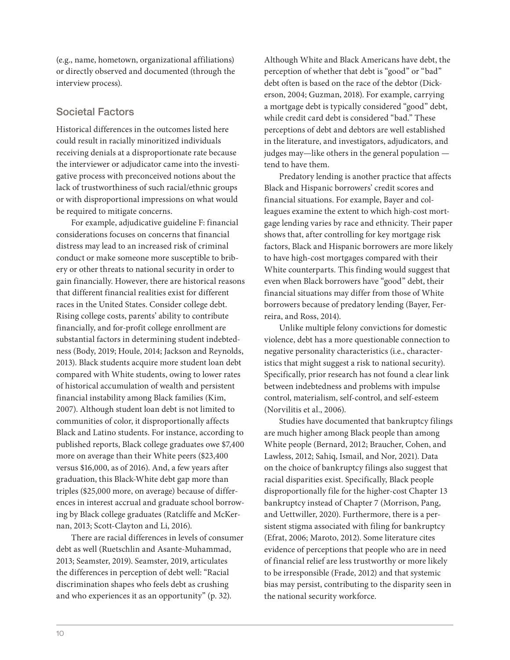(e.g., name, hometown, organizational affiliations) or directly observed and documented (through the interview process).

### Societal Factors

Historical differences in the outcomes listed here could result in racially minoritized individuals receiving denials at a disproportionate rate because the interviewer or adjudicator came into the investigative process with preconceived notions about the lack of trustworthiness of such racial/ethnic groups or with disproportional impressions on what would be required to mitigate concerns.

For example, adjudicative guideline F: financial considerations focuses on concerns that financial distress may lead to an increased risk of criminal conduct or make someone more susceptible to bribery or other threats to national security in order to gain financially. However, there are historical reasons that different financial realities exist for different races in the United States. Consider college debt. Rising college costs, parents' ability to contribute financially, and for-profit college enrollment are substantial factors in determining student indebtedness (Body, 2019; Houle, 2014; Jackson and Reynolds, 2013). Black students acquire more student loan debt compared with White students, owing to lower rates of historical accumulation of wealth and persistent financial instability among Black families (Kim, 2007). Although student loan debt is not limited to communities of color, it disproportionally affects Black and Latino students. For instance, according to published reports, Black college graduates owe \$7,400 more on average than their White peers (\$23,400 versus \$16,000, as of 2016). And, a few years after graduation, this Black-White debt gap more than triples (\$25,000 more, on average) because of differences in interest accrual and graduate school borrowing by Black college graduates (Ratcliffe and McKernan, 2013; Scott-Clayton and Li, 2016).

There are racial differences in levels of consumer debt as well (Ruetschlin and Asante-Muhammad, 2013; Seamster, 2019). Seamster, 2019, articulates the differences in perception of debt well: "Racial discrimination shapes who feels debt as crushing and who experiences it as an opportunity" (p. 32).

Although White and Black Americans have debt, the perception of whether that debt is "good" or "bad" debt often is based on the race of the debtor (Dickerson, 2004; Guzman, 2018). For example, carrying a mortgage debt is typically considered "good" debt, while credit card debt is considered "bad." These perceptions of debt and debtors are well established in the literature, and investigators, adjudicators, and judges may—like others in the general population tend to have them.

Predatory lending is another practice that affects Black and Hispanic borrowers' credit scores and financial situations. For example, Bayer and colleagues examine the extent to which high-cost mortgage lending varies by race and ethnicity. Their paper shows that, after controlling for key mortgage risk factors, Black and Hispanic borrowers are more likely to have high-cost mortgages compared with their White counterparts. This finding would suggest that even when Black borrowers have "good" debt, their financial situations may differ from those of White borrowers because of predatory lending (Bayer, Ferreira, and Ross, 2014).

Unlike multiple felony convictions for domestic violence, debt has a more questionable connection to negative personality characteristics (i.e., characteristics that might suggest a risk to national security). Specifically, prior research has not found a clear link between indebtedness and problems with impulse control, materialism, self-control, and self-esteem (Norvilitis et al., 2006).

Studies have documented that bankruptcy filings are much higher among Black people than among White people (Bernard, 2012; Braucher, Cohen, and Lawless, 2012; Sahiq, Ismail, and Nor, 2021). Data on the choice of bankruptcy filings also suggest that racial disparities exist. Specifically, Black people disproportionally file for the higher-cost Chapter 13 bankruptcy instead of Chapter 7 (Morrison, Pang, and Uettwiller, 2020). Furthermore, there is a persistent stigma associated with filing for bankruptcy (Efrat, 2006; Maroto, 2012). Some literature cites evidence of perceptions that people who are in need of financial relief are less trustworthy or more likely to be irresponsible (Frade, 2012) and that systemic bias may persist, contributing to the disparity seen in the national security workforce.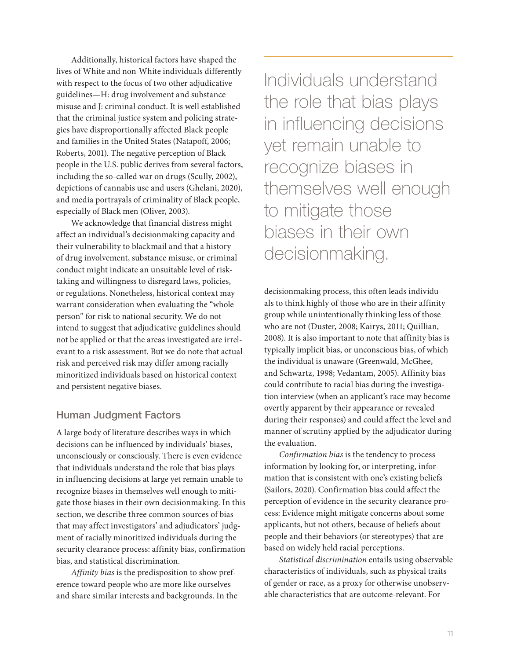Additionally, historical factors have shaped the lives of White and non-White individuals differently with respect to the focus of two other adjudicative guidelines—H: drug involvement and substance misuse and J: criminal conduct. It is well established that the criminal justice system and policing strategies have disproportionally affected Black people and families in the United States (Natapoff, 2006; Roberts, 2001). The negative perception of Black people in the U.S. public derives from several factors, including the so-called war on drugs (Scully, 2002), depictions of cannabis use and users (Ghelani, 2020), and media portrayals of criminality of Black people, especially of Black men (Oliver, 2003).

We acknowledge that financial distress might affect an individual's decisionmaking capacity and their vulnerability to blackmail and that a history of drug involvement, substance misuse, or criminal conduct might indicate an unsuitable level of risktaking and willingness to disregard laws, policies, or regulations. Nonetheless, historical context may warrant consideration when evaluating the "whole person" for risk to national security. We do not intend to suggest that adjudicative guidelines should not be applied or that the areas investigated are irrelevant to a risk assessment. But we do note that actual risk and perceived risk may differ among racially minoritized individuals based on historical context and persistent negative biases.

### Human Judgment Factors

A large body of literature describes ways in which decisions can be influenced by individuals' biases, unconsciously or consciously. There is even evidence that individuals understand the role that bias plays in influencing decisions at large yet remain unable to recognize biases in themselves well enough to mitigate those biases in their own decisionmaking. In this section, we describe three common sources of bias that may affect investigators' and adjudicators' judgment of racially minoritized individuals during the security clearance process: affinity bias, confirmation bias, and statistical discrimination.

Affinity bias is the predisposition to show preference toward people who are more like ourselves and share similar interests and backgrounds. In the Individuals understand the role that bias plays in influencing decisions yet remain unable to recognize biases in themselves well enough to mitigate those biases in their own decisionmaking.

decision making process, this often leads individuals to think highly of those who are in their affinity group while unintentionally thinking less of those who are not (Duster, 2008; Kairys, 2011; Quillian, 2008). It is also important to note that affinity bias is typically implicit bias, or unconscious bias, of which the individual is unaware (Greenwald, McGhee, and Schwartz, 1998; Vedantam, 2005). Affinity bias could contribute to racial bias during the investigation interview (when an applicant's race may become overtly apparent by their appearance or revealed during their responses) and could affect the level and manner of scrutiny applied by the adjudicator during the evaluation.

Confirmation bias is the tendency to process information by looking for, or interpreting, information that is consistent with one's existing beliefs (Sailors, 2020). Confirmation bias could affect the perception of evidence in the security clearance process: Evidence might mitigate concerns about some applicants, but not others, because of beliefs about people and their behaviors (or stereotypes) that are based on widely held racial perceptions.

Statistical discrimination entails using observable characteristics of individuals, such as physical traits of gender or race, as a proxy for otherwise unobservable characteristics that are outcome-relevant. For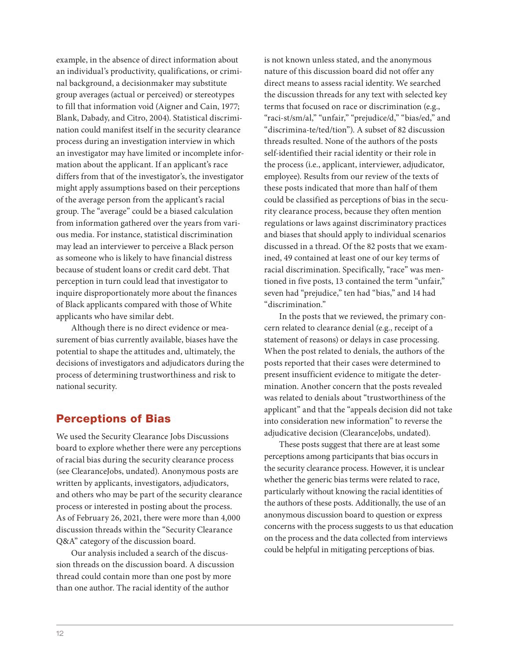example, in the absence of direct information about an individual's productivity, qualifications, or criminal background, a decisionmaker may substitute group averages (actual or perceived) or stereotypes to fill that information void (Aigner and Cain, 1977; Blank, Dabady, and Citro, 2004). Statistical discrimination could manifest itself in the security clearance process during an investigation interview in which an investigator may have limited or incomplete information about the applicant. If an applicant's race differs from that of the investigator's, the investigator might apply assumptions based on their perceptions of the average person from the applicant's racial group. The "average" could be a biased calculation from information gathered over the years from various media. For instance, statistical discrimination may lead an interviewer to perceive a Black person as someone who is likely to have financial distress because of student loans or credit card debt. That perception in turn could lead that investigator to inquire disproportionately more about the finances of Black applicants compared with those of White applicants who have similar debt.

Although there is no direct evidence or measurement of bias currently available, biases have the potential to shape the attitudes and, ultimately, the decisions of investigators and adjudicators during the process of determining trustworthiness and risk to national security.

# Perceptions of Bias

We used the Security Clearance Jobs Discussions board to explore whether there were any perceptions of racial bias during the security clearance process (see ClearanceJobs, undated). Anonymous posts are written by applicants, investigators, adjudicators, and others who may be part of the security clearance process or interested in posting about the process. As of February 26, 2021, there were more than 4,000 discussion threads within the "Security Clearance Q&A" category of the discussion board.

Our analysis included a search of the discussion threads on the discussion board. A discussion thread could contain more than one post by more than one author. The racial identity of the author

is not known unless stated, and the anonymous nature of this discussion board did not offer any direct means to assess racial identity. We searched the discussion threads for any text with selected key terms that focused on race or discrimination (e.g., "raci-st/sm/al," "unfair," "prejudice/d," "bias/ed," and "discrimina-te/ted/tion"). A subset of 82 discussion threads resulted. None of the authors of the posts self-identified their racial identity or their role in the process (i.e., applicant, interviewer, adjudicator, employee). Results from our review of the texts of these posts indicated that more than half of them could be classified as perceptions of bias in the security clearance process, because they often mention regulations or laws against discriminatory practices and biases that should apply to individual scenarios discussed in a thread. Of the 82 posts that we examined, 49 contained at least one of our key terms of racial discrimination. Specifically, "race" was mentioned in five posts, 13 contained the term "unfair," seven had "prejudice," ten had "bias," and 14 had "discrimination."

In the posts that we reviewed, the primary concern related to clearance denial (e.g., receipt of a statement of reasons) or delays in case processing. When the post related to denials, the authors of the posts reported that their cases were determined to present insufficient evidence to mitigate the determination. Another concern that the posts revealed was related to denials about "trustworthiness of the applicant" and that the "appeals decision did not take into consideration new information" to reverse the adjudicative decision (ClearanceJobs, undated).

These posts suggest that there are at least some perceptions among participants that bias occurs in the security clearance process. However, it is unclear whether the generic bias terms were related to race, particularly without knowing the racial identities of the authors of these posts. Additionally, the use of an anonymous discussion board to question or express concerns with the process suggests to us that education on the process and the data collected from interviews could be helpful in mitigating perceptions of bias.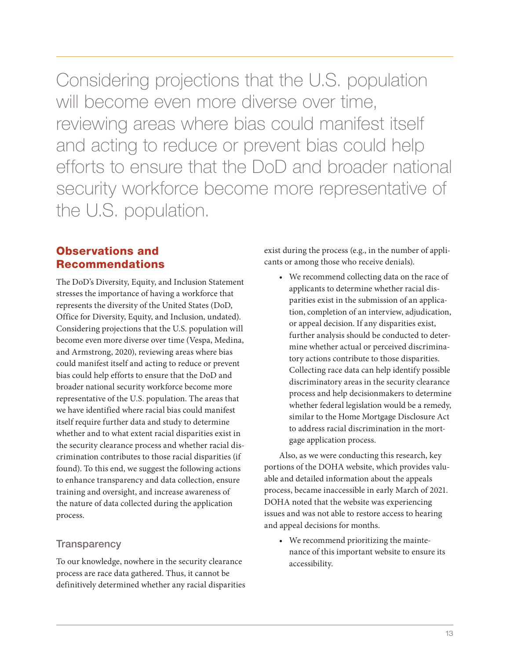Considering projections that the U.S. population will become even more diverse over time, reviewing areas where bias could manifest itself and acting to reduce or prevent bias could help efforts to ensure that the DoD and broader national security workforce become more representative of the U.S. population.

# Observations and Recommendations

The DoD's Diversity, Equity, and Inclusion Statement stresses the importance of having a workforce that represents the diversity of the United States (DoD, Office for Diversity, Equity, and Inclusion, undated). Considering projections that the U.S. population will become even more diverse over time (Vespa, Medina, and Armstrong, 2020), reviewing areas where bias could manifest itself and acting to reduce or prevent bias could help efforts to ensure that the DoD and broader national security workforce become more representative of the U.S. population. The areas that we have identified where racial bias could manifest itself require further data and study to determine whether and to what extent racial disparities exist in the security clearance process and whether racial discrimination contributes to those racial disparities (if found). To this end, we suggest the following actions to enhance transparency and data collection, ensure training and oversight, and increase awareness of the nature of data collected during the application process.

### **Transparency**

To our knowledge, nowhere in the security clearance process are race data gathered. Thus, it cannot be definitively determined whether any racial disparities exist during the process (e.g., in the number of applicants or among those who receive denials).

• We recommend collecting data on the race of applicants to determine whether racial disparities exist in the submission of an application, completion of an interview, adjudication, or appeal decision. If any disparities exist, further analysis should be conducted to determine whether actual or perceived discriminatory actions contribute to those disparities. Collecting race data can help identify possible discriminatory areas in the security clearance process and help decisionmakers to determine whether federal legislation would be a remedy, similar to the Home Mortgage Disclosure Act to address racial discrimination in the mortgage application process.

Also, as we were conducting this research, key portions of the DOHA website, which provides valuable and detailed information about the appeals process, became inaccessible in early March of 2021. DOHA noted that the website was experiencing issues and was not able to restore access to hearing and appeal decisions for months.

• We recommend prioritizing the maintenance of this important website to ensure its accessibility.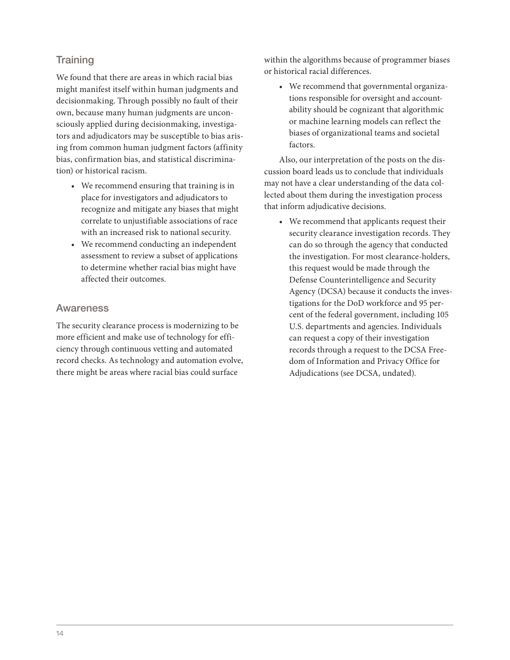# **Training**

We found that there are areas in which racial bias might manifest itself within human judgments and decisionmaking. Through possibly no fault of their own, because many human judgments are unconsciously applied during decisionmaking, investigators and adjudicators may be susceptible to bias arising from common human judgment factors (affinity bias, confirmation bias, and statistical discrimination) or historical racism.

- We recommend ensuring that training is in place for investigators and adjudicators to recognize and mitigate any biases that might correlate to unjustifiable associations of race with an increased risk to national security.
- We recommend conducting an independent assessment to review a subset of applications to determine whether racial bias might have affected their outcomes.

#### Awareness

The security clearance process is modernizing to be more efficient and make use of technology for efficiency through continuous vetting and automated record checks. As technology and automation evolve, there might be areas where racial bias could surface

within the algorithms because of programmer biases or historical racial differences.

• We recommend that governmental organizations responsible for oversight and accountability should be cognizant that algorithmic or machine learning models can reflect the biases of organizational teams and societal factors.

Also, our interpretation of the posts on the discussion board leads us to conclude that individuals may not have a clear understanding of the data collected about them during the investigation process that inform adjudicative decisions.

• We recommend that applicants request their security clearance investigation records. They can do so through the agency that conducted the investigation. For most clearance-holders, this request would be made through the Defense Counterintelligence and Security Agency (DCSA) because it conducts the investigations for the DoD workforce and 95 percent of the federal government, including 105 U.S. departments and agencies. Individuals can request a copy of their investigation records through a request to the DCSA Freedom of Information and Privacy Office for Adjudications (see DCSA, undated).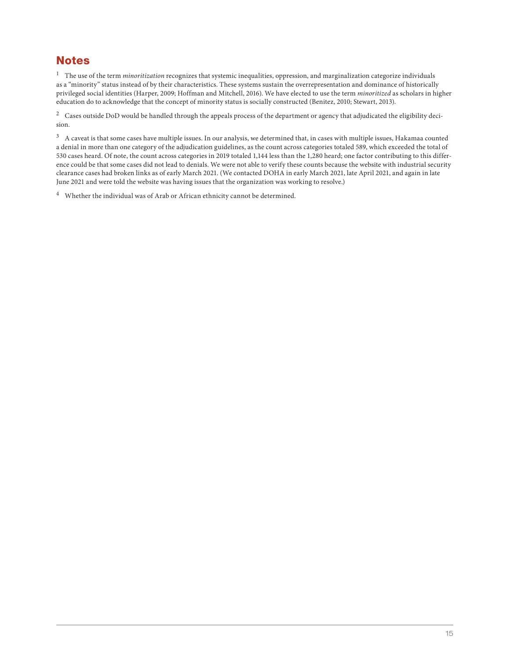# **Notes**

 $^{\rm 1}$  The use of the term *minoritization* recognizes that systemic inequalities, oppression, and marginalization categorize individuals as a "minority" status instead of by their characteristics. These systems sustain the overrepresentation and dominance of historically privileged social identities (Harper, 2009; Hoffman and Mitchell, 2016). We have elected to use the term minoritized as scholars in higher education do to acknowledge that the concept of minority status is socially constructed (Benitez, 2010; Stewart, 2013).

<sup>2</sup> Cases outside DoD would be handled through the appeals process of the department or agency that adjudicated the eligibility decision.

<sup>3</sup> A caveat is that some cases have multiple issues. In our analysis, we determined that, in cases with multiple issues, Hakamaa counted a denial in more than one category of the adjudication guidelines, as the count across categories totaled 589, which exceeded the total of 530 cases heard. Of note, the count across categories in 2019 totaled 1,144 less than the 1,280 heard; one factor contributing to this difference could be that some cases did not lead to denials. We were not able to verify these counts because the website with industrial security clearance cases had broken links as of early March 2021. (We contacted DOHA in early March 2021, late April 2021, and again in late June 2021 and were told the website was having issues that the organization was working to resolve.)

4 Whether the individual was of Arab or African ethnicity cannot be determined.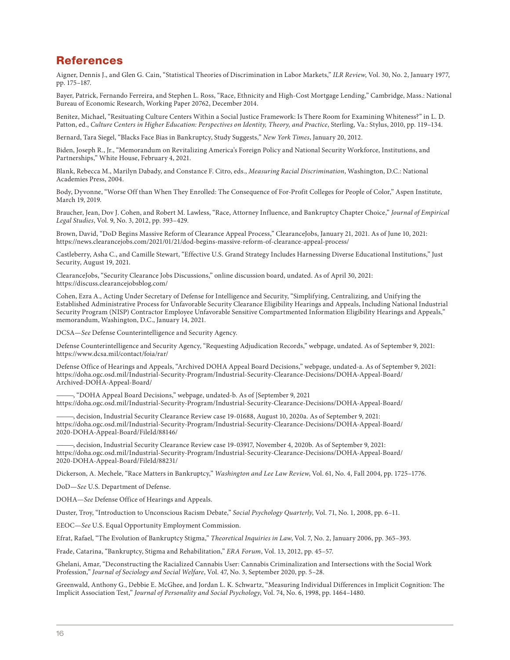# References

Aigner, Dennis J., and Glen G. Cain, "Statistical Theories of Discrimination in Labor Markets," ILR Review, Vol. 30, No. 2, January 1977, pp. 175–187.

Bayer, Patrick, Fernando Ferreira, and Stephen L. Ross, "Race, Ethnicity and High-Cost Mortgage Lending," Cambridge, Mass.: National Bureau of Economic Research, Working Paper 20762, December 2014.

Benitez, Michael, "Resituating Culture Centers Within a Social Justice Framework: Is There Room for Examining Whiteness?" in L. D. Patton, ed., Culture Centers in Higher Education: Perspectives on Identity, Theory, and Practice, Sterling, Va.: Stylus, 2010, pp. 119–134.

Bernard, Tara Siegel, "Blacks Face Bias in Bankruptcy, Study Suggests," New York Times, January 20, 2012.

Biden, Joseph R., Jr., "Memorandum on Revitalizing America's Foreign Policy and National Security Workforce, Institutions, and Partnerships," White House, February 4, 2021.

Blank, Rebecca M., Marilyn Dabady, and Constance F. Citro, eds., Measuring Racial Discrimination, Washington, D.C.: National Academies Press, 2004.

Body, Dyvonne, "Worse Off than When They Enrolled: The Consequence of For-Profit Colleges for People of Color," Aspen Institute, March 19, 2019.

Braucher, Jean, Dov J. Cohen, and Robert M. Lawless, "Race, Attorney Influence, and Bankruptcy Chapter Choice," Journal of Empirical Legal Studies, Vol. 9, No. 3, 2012, pp. 393–429.

Brown, David, "DoD Begins Massive Reform of Clearance Appeal Process," ClearanceJobs, January 21, 2021. As of June 10, 2021: <https://news.clearancejobs.com/2021/01/21/dod-begins-massive-reform-of-clearance-appeal-process/>

Castleberry, Asha C., and Camille Stewart, "Effective U.S. Grand Strategy Includes Harnessing Diverse Educational Institutions," Just Security, August 19, 2021.

ClearanceJobs, "Security Clearance Jobs Discussions," online discussion board, undated. As of April 30, 2021: <https://discuss.clearancejobsblog.com/>

Cohen, Ezra A., Acting Under Secretary of Defense for Intelligence and Security, "Simplifying, Centralizing, and Unifying the Established Administrative Process for Unfavorable Security Clearance Eligibility Hearings and Appeals, Including National Industrial Security Program (NISP) Contractor Employee Unfavorable Sensitive Compartmented Information Eligibility Hearings and Appeals," memorandum, Washington, D.C., January 14, 2021.

DCSA—See Defense Counterintelligence and Security Agency.

Defense Counterintelligence and Security Agency, "Requesting Adjudication Records," webpage, undated. As of September 9, 2021: <https://www.dcsa.mil/contact/foia/rar/>

Defense Office of Hearings and Appeals, "Archived DOHA Appeal Board Decisions," webpage, undated-a. As of September 9, 2021: [https://doha.ogc.osd.mil/Industrial-Security-Program/Industrial-Security-Clearance-Decisions/DOHA-Appeal-Board/](https://doha.ogc.osd.mil/Industrial-Security-Program/Industrial-Security-Clearance-Decisions/DOHA-Appeal-Board/Archived-DOHA-Appeal-Board/)  Archived-DOHA-Appeal-Board/

———, "DOHA Appeal Board Decisions," webpage, undated-b. As of [September 9, 2021 <https://doha.ogc.osd.mil/Industrial-Security-Program/Industrial-Security-Clearance-Decisions/DOHA-Appeal-Board/>

———, decision, Industrial Security Clearance Review case 19-01688, August 10, 2020a. As of September 9, 2021: [https://doha.ogc.osd.mil/Industrial-Security-Program/Industrial-Security-Clearance-Decisions/DOHA-Appeal-Board/](https://doha.ogc.osd.mil/Industrial-Security-Program/Industrial-Security-Clearance-Decisions/DOHA-Appeal-Board/2020-DOHA-Appeal-Board/FileId/88146/)  2020-DOHA-Appeal-Board/FileId/88146/

decision, Industrial Security Clearance Review case 19-03917, November 4, 2020b. As of September 9, 2021: [https://doha.ogc.osd.mil/Industrial-Security-Program/Industrial-Security-Clearance-Decisions/DOHA-Appeal-Board/](https://doha.ogc.osd.mil/Industrial-Security-Program/Industrial-Security-Clearance-Decisions/DOHA-Appeal-Board/2020-DOHA-Appeal-Board/FileId/88231/)  2020-DOHA-Appeal-Board/FileId/88231/

Dickerson, A. Mechele, "Race Matters in Bankruptcy," Washington and Lee Law Review, Vol. 61, No. 4, Fall 2004, pp. 1725–1776.

DoD—See U.S. Department of Defense.

DOHA—See Defense Office of Hearings and Appeals.

Duster, Troy, "Introduction to Unconscious Racism Debate," Social Psychology Quarterly, Vol. 71, No. 1, 2008, pp. 6–11.

EEOC—See U.S. Equal Opportunity Employment Commission.

Efrat, Rafael, "The Evolution of Bankruptcy Stigma," Theoretical Inquiries in Law, Vol. 7, No. 2, January 2006, pp. 365–393.

Frade, Catarina, "Bankruptcy, Stigma and Rehabilitation," ERA Forum, Vol. 13, 2012, pp. 45–57.

Ghelani, Amar, "Deconstructing the Racialized Cannabis User: Cannabis Criminalization and Intersections with the Social Work Profession," Journal of Sociology and Social Welfare, Vol. 47, No. 3, September 2020, pp. 5–28.

Greenwald, Anthony G., Debbie E. McGhee, and Jordan L. K. Schwartz, "Measuring Individual Differences in Implicit Cognition: The Implicit Association Test," Journal of Personality and Social Psychology, Vol. 74, No. 6, 1998, pp. 1464–1480.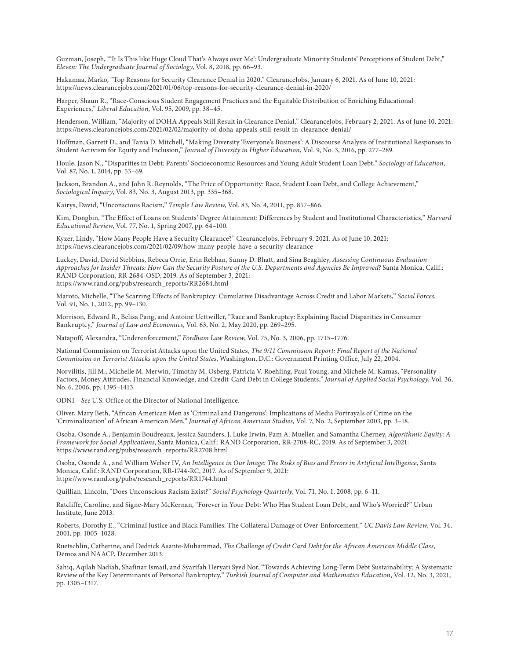Guzman, Joseph, "'It Is This like Huge Cloud That's Always over Me': Undergraduate Minority Students' Perceptions of Student Debt," Eleven: The Undergraduate Journal of Sociology, Vol. 8, 2018, pp. 66–93.

Hakamaa, Marko, "Top Reasons for Security Clearance Denial in 2020," ClearanceJobs, January 6, 2021. As of June 10, 2021: <https://news.clearancejobs.com/2021/01/06/top-reasons-for-security-clearance-denial-in-2020/>

Harper, Shaun R., "Race-Conscious Student Engagement Practices and the Equitable Distribution of Enriching Educational Experiences," Liberal Education, Vol. 95, 2009, pp. 38–45.

Henderson, William, "Majority of DOHA Appeals Still Result in Clearance Denial," ClearanceJobs, February 2, 2021. As of June 10, 2021: <https://news.clearancejobs.com/2021/02/02/majority-of-doha-appeals-still-result-in-clearance-denial/>

Hoffman, Garrett D., and Tania D. Mitchell, "Making Diversity 'Everyone's Business': A Discourse Analysis of Institutional Responses to Student Activism for Equity and Inclusion," Journal of Diversity in Higher Education, Vol. 9, No. 3, 2016, pp. 277–289.

Houle, Jason N., "Disparities in Debt: Parents' Socioeconomic Resources and Young Adult Student Loan Debt," Sociology of Education, Vol. 87, No. 1, 2014, pp. 53–69.

Jackson, Brandon A., and John R. Reynolds, "The Price of Opportunity: Race, Student Loan Debt, and College Achievement," Sociological Inquiry, Vol. 83, No. 3, August 2013, pp. 335–368.

Kairys, David, "Unconscious Racism," Temple Law Review, Vol. 83, No. 4, 2011, pp. 857–866.

Kim, Dongbin, "The Effect of Loans on Students' Degree Attainment: Differences by Student and Institutional Characteristics," Harvard Educational Review, Vol. 77, No. 1, Spring 2007, pp. 64–100.

Kyzer, Lindy, "How Many People Have a Security Clearance?" ClearanceJobs, February 9, 2021. As of June 10, 2021: <https://news.clearancejobs.com/2021/02/09/how-many-people-have-a-security-clearance>

Luckey, David, David Stebbins, Rebeca Orrie, Erin Rebhan, Sunny D. Bhatt, and Sina Beaghley, Assessing Continuous Evaluation Approaches for Insider Threats: How Can the Security Posture of the U.S. Departments and Agencies Be Improved? Santa Monica, Calif.: RAND Corporation, RR-2684-OSD, 2019. As of September 3, 2021: [https://www.rand.org/pubs/research\\_reports/RR2684.html](https://www.rand.org/pubs/research_reports/RR2684.html)

Maroto, Michelle, "The Scarring Effects of Bankruptcy: Cumulative Disadvantage Across Credit and Labor Markets," Social Forces, Vol. 91, No. 1, 2012, pp. 99–130.

Morrison, Edward R., Belisa Pang, and Antoine Uettwiller, "Race and Bankruptcy: Explaining Racial Disparities in Consumer Bankruptcy," Journal of Law and Economics, Vol. 63, No. 2, May 2020, pp. 269–295.

Natapoff, Alexandra, "Underenforcement," Fordham Law Review, Vol. 75, No. 3, 2006, pp. 1715–1776.

National Commission on Terrorist Attacks upon the United States, The 9/11 Commission Report: Final Report of the National Commission on Terrorist Attacks upon the United States, Washington, D.C.: Government Printing Office, July 22, 2004.

Norvilitis, Jill M., Michelle M. Merwin, Timothy M. Osberg, Patricia V. Roehling, Paul Young, and Michele M. Kamas, "Personality Factors, Money Attitudes, Financial Knowledge, and Credit-Card Debt in College Students," Journal of Applied Social Psychology, Vol. 36, No. 6, 2006, pp. 1395–1413.

ODNI—See U.S. Office of the Director of National Intelligence.

Oliver, Mary Beth, "African American Men as 'Criminal and Dangerous': Implications of Media Portrayals of Crime on the 'Criminalization' of African American Men," Journal of African American Studies, Vol. 7, No. 2, September 2003, pp. 3–18.

Osoba, Osonde A., Benjamin Boudreaux, Jessica Saunders, J. Luke Irwin, Pam A. Mueller, and Samantha Cherney, Algorithmic Equity: A Framework for Social Applications, Santa Monica, Calif.: RAND Corporation, RR-2708-RC, 2019. As of September 3, 2021: [https://www.rand.org/pubs/research\\_reports/RR2708.html](https://www.rand.org/pubs/research_reports/RR2708.html)

Osoba, Osonde A., and William Welser IV, An Intelligence in Our Image: The Risks of Bias and Errors in Artificial Intelligence, Santa Monica, Calif.: RAND Corporation, RR-1744-RC, 2017. As of September 9, 2021: [https://www.rand.org/pubs/research\\_reports/RR1744.html](https://www.rand.org/pubs/research_reports/RR1744.html)

Quillian, Lincoln, "Does Unconscious Racism Exist?" Social Psychology Quarterly, Vol. 71, No. 1, 2008, pp. 6–11.

Ratcliffe, Caroline, and Signe-Mary McKernan, "Forever in Your Debt: Who Has Student Loan Debt, and Who's Worried?" Urban Institute, June 2013.

Roberts, Dorothy E., "Criminal Justice and Black Families: The Collateral Damage of Over-Enforcement," UC Davis Law Review, Vol. 34, 2001, pp. 1005–1028.

Ruetschlin, Catherine, and Dedrick Asante-Muhammad, The Challenge of Credit Card Debt for the African American Middle Class, Dēmos and NAACP, December 2013.

Sahiq, Aqilah Nadiah, Shafinar Ismail, and Syarifah Heryati Syed Nor, "Towards Achieving Long-Term Debt Sustainability: A Systematic Review of the Key Determinants of Personal Bankruptcy," Turkish Journal of Computer and Mathematics Education, Vol. 12, No. 3, 2021, pp. 1305–1317.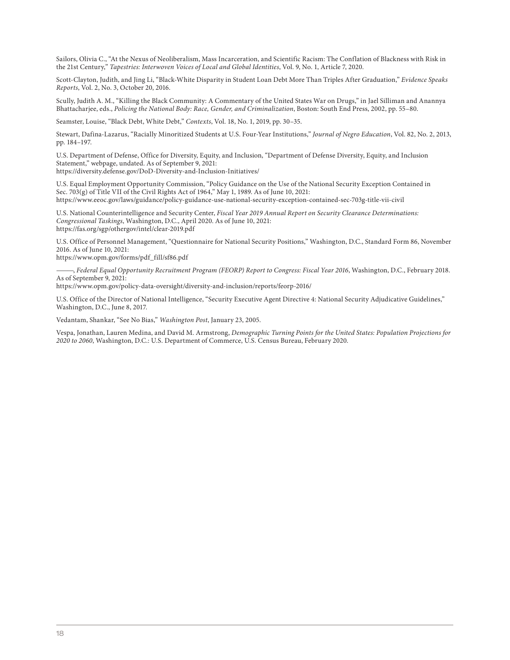Sailors, Olivia C., "At the Nexus of Neoliberalism, Mass Incarceration, and Scientific Racism: The Conflation of Blackness with Risk in the 21st Century," Tapestries: Interwoven Voices of Local and Global Identities, Vol. 9, No. 1, Article 7, 2020.

Scott-Clayton, Judith, and Jing Li, "Black-White Disparity in Student Loan Debt More Than Triples After Graduation," Evidence Speaks Reports, Vol. 2, No. 3, October 20, 2016.

Scully, Judith A. M., "Killing the Black Community: A Commentary of the United States War on Drugs," in Jael Silliman and Anannya Bhattacharjee, eds., Policing the National Body: Race, Gender, and Criminalization, Boston: South End Press, 2002, pp. 55–80.

Seamster, Louise, "Black Debt, White Debt," Contexts, Vol. 18, No. 1, 2019, pp. 30-35.

Stewart, Dafina-Lazarus, "Racially Minoritized Students at U.S. Four-Year Institutions," Journal of Negro Education, Vol. 82, No. 2, 2013, pp. 184–197.

U.S. Department of Defense, Office for Diversity, Equity, and Inclusion, "Department of Defense Diversity, Equity, and Inclusion Statement," webpage, undated. As of September 9, 2021:

<https://diversity.defense.gov/DoD-Diversity-and-Inclusion-Initiatives/>

U.S. Equal Employment Opportunity Commission, "Policy Guidance on the Use of the National Security Exception Contained in Sec. 703(g) of Title VII of the Civil Rights Act of 1964," May 1, 1989. As of June 10, 2021: <https://www.eeoc.gov/laws/guidance/policy-guidance-use-national-security-exception-contained-sec-703g-title-vii-civil>

U.S. National Counterintelligence and Security Center, Fiscal Year 2019 Annual Report on Security Clearance Determinations: Congressional Taskings, Washington, D.C., April 2020. As of June 10, 2021: <https://fas.org/sgp/othergov/intel/clear-2019.pdf>

U.S. Office of Personnel Management, "Questionnaire for National Security Positions," Washington, D.C., Standard Form 86, November 2016. As of June 10, 2021:

[https://www.opm.gov/forms/pdf\\_fill/sf86.pdf](https://www.opm.gov/forms/pdf_fill/sf86.pdf)

———, Federal Equal Opportunity Recruitment Program (FEORP) Report to Congress: Fiscal Year 2016, Washington, D.C., February 2018. As of September 9, 2021:

<https://www.opm.gov/policy-data-oversight/diversity-and-inclusion/reports/feorp-2016/>

U.S. Office of the Director of National Intelligence, "Security Executive Agent Directive 4: National Security Adjudicative Guidelines," Washington, D.C., June 8, 2017.

Vedantam, Shankar, "See No Bias," Washington Post, January 23, 2005.

Vespa, Jonathan, Lauren Medina, and David M. Armstrong, Demographic Turning Points for the United States: Population Projections for 2020 to 2060, Washington, D.C.: U.S. Department of Commerce, U.S. Census Bureau, February 2020.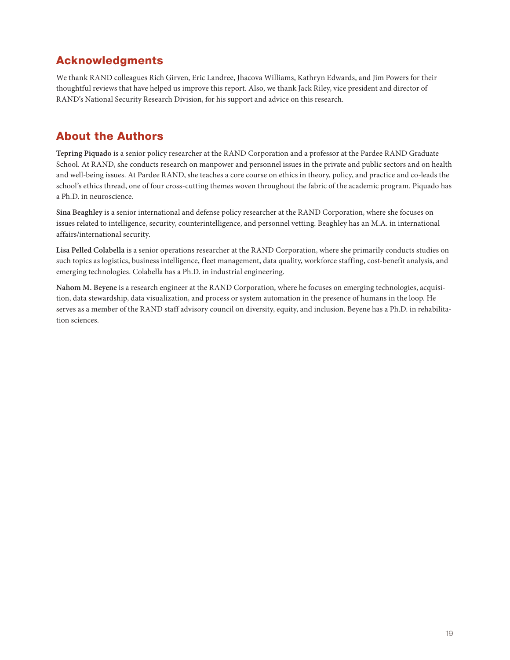# Acknowledgments

We thank RAND colleagues Rich Girven, Eric Landree, Jhacova Williams, Kathryn Edwards, and Jim Powers for their thoughtful reviews that have helped us improve this report. Also, we thank Jack Riley, vice president and director of RAND's National Security Research Division, for his support and advice on this research.

# About the Authors

**Tepring Piquado** is a senior policy researcher at the RAND Corporation and a professor at the Pardee RAND Graduate School. At RAND, she conducts research on manpower and personnel issues in the private and public sectors and on health and well-being issues. At Pardee RAND, she teaches a core course on ethics in theory, policy, and practice and co-leads the school's ethics thread, one of four cross-cutting themes woven throughout the fabric of the academic program. Piquado has a Ph.D. in neuroscience.

**Sina Beaghley** is a senior international and defense policy researcher at the RAND Corporation, where she focuses on issues related to intelligence, security, counterintelligence, and personnel vetting. Beaghley has an M.A. in international affairs/international security.

**Lisa Pelled Colabella** is a senior operations researcher at the RAND Corporation, where she primarily conducts studies on such topics as logistics, business intelligence, fleet management, data quality, workforce staffing, cost-benefit analysis, and emerging technologies. Colabella has a Ph.D. in industrial engineering.

**Nahom M. Beyene** is a research engineer at the RAND Corporation, where he focuses on emerging technologies, acquisition, data stewardship, data visualization, and process or system automation in the presence of humans in the loop. He serves as a member of the RAND staff advisory council on diversity, equity, and inclusion. Beyene has a Ph.D. in rehabilitation sciences.